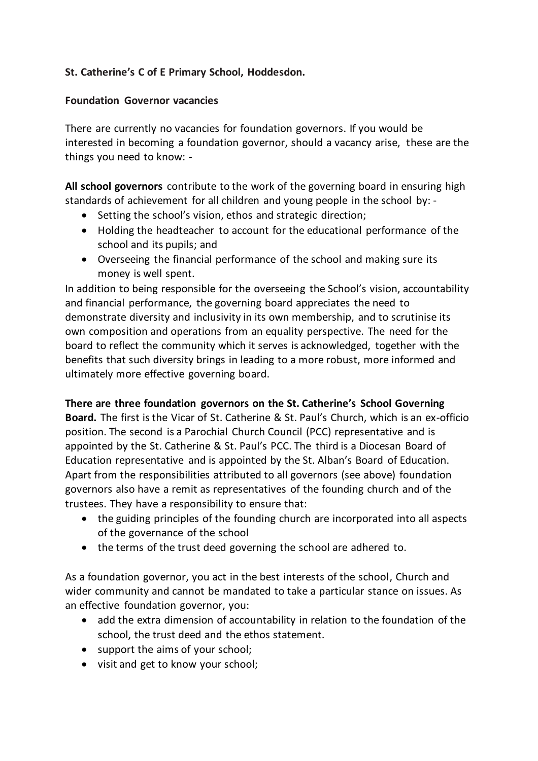## **St. Catherine's C of E Primary School, Hoddesdon.**

## **Foundation Governor vacancies**

There are currently no vacancies for foundation governors. If you would be interested in becoming a foundation governor, should a vacancy arise, these are the things you need to know: -

**All school governors** contribute to the work of the governing board in ensuring high standards of achievement for all children and young people in the school by: -

- Setting the school's vision, ethos and strategic direction;
- Holding the headteacher to account for the educational performance of the school and its pupils; and
- Overseeing the financial performance of the school and making sure its money is well spent.

In addition to being responsible for the overseeing the School's vision, accountability and financial performance, the governing board appreciates the need to demonstrate diversity and inclusivity in its own membership, and to scrutinise its own composition and operations from an equality perspective. The need for the board to reflect the community which it serves is acknowledged, together with the benefits that such diversity brings in leading to a more robust, more informed and ultimately more effective governing board.

## **There are three foundation governors on the St. Catherine's School Governing**

**Board.** The first is the Vicar of St. Catherine & St. Paul's Church, which is an ex-officio position. The second is a Parochial Church Council (PCC) representative and is appointed by the St. Catherine & St. Paul's PCC. The third is a Diocesan Board of Education representative and is appointed by the St. Alban's Board of Education. Apart from the responsibilities attributed to all governors (see above) foundation governors also have a remit as representatives of the founding church and of the trustees. They have a responsibility to ensure that:

- the guiding principles of the founding church are incorporated into all aspects of the governance of the school
- the terms of the trust deed governing the school are adhered to.

As a foundation governor, you act in the best interests of the school, Church and wider community and cannot be mandated to take a particular stance on issues. As an effective foundation governor, you:

- add the extra dimension of accountability in relation to the foundation of the school, the trust deed and the ethos statement.
- support the aims of your school;
- visit and get to know your school;